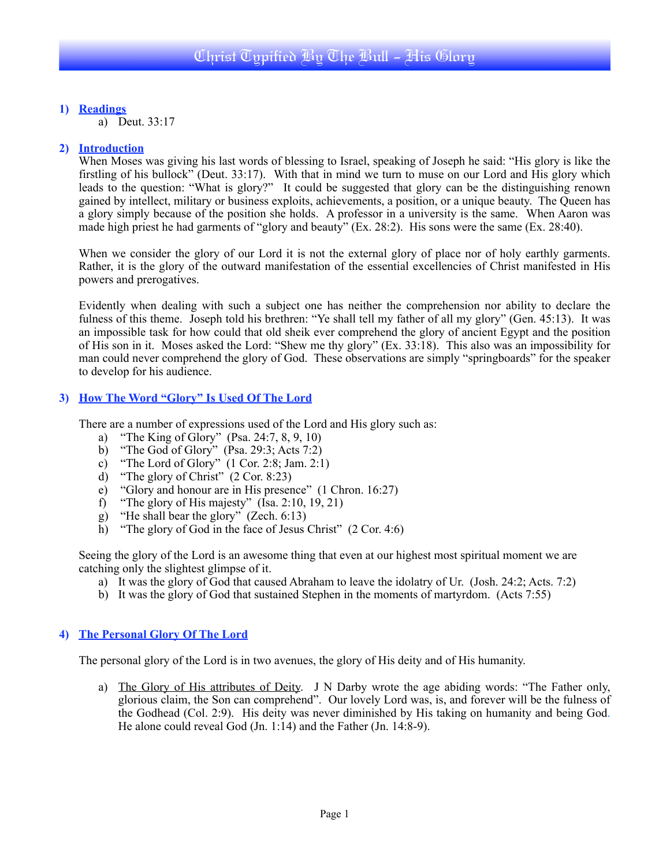**1) Readings**

a) Deut. 33:17

### **2) Introduction**

When Moses was giving his last words of blessing to Israel, speaking of Joseph he said: "His glory is like the firstling of his bullock" (Deut. 33:17). With that in mind we turn to muse on our Lord and His glory which leads to the question: "What is glory?" It could be suggested that glory can be the distinguishing renown gained by intellect, military or business exploits, achievements, a position, or a unique beauty. The Queen has a glory simply because of the position she holds. A professor in a university is the same. When Aaron was made high priest he had garments of "glory and beauty" (Ex. 28:2). His sons were the same (Ex. 28:40).

When we consider the glory of our Lord it is not the external glory of place nor of holy earthly garments. Rather, it is the glory of the outward manifestation of the essential excellencies of Christ manifested in His powers and prerogatives.

Evidently when dealing with such a subject one has neither the comprehension nor ability to declare the fulness of this theme. Joseph told his brethren: "Ye shall tell my father of all my glory" (Gen. 45:13). It was an impossible task for how could that old sheik ever comprehend the glory of ancient Egypt and the position of His son in it. Moses asked the Lord: "Shew me thy glory" (Ex. 33:18). This also was an impossibility for man could never comprehend the glory of God. These observations are simply "springboards" for the speaker to develop for his audience.

### **3) How The Word "Glory" Is Used Of The Lord**

There are a number of expressions used of the Lord and His glory such as:

- a) "The King of Glory" (Psa. 24:7, 8, 9, 10)
- b) "The God of Glory" (Psa. 29:3; Acts 7:2)
- c) "The Lord of Glory" (1 Cor. 2:8; Jam. 2:1)
- d) "The glory of Christ"  $(2 \text{ Cor. } 8:23)$
- e) "Glory and honour are in His presence" (1 Chron. 16:27)
- f) "The glory of His majesty" ( $\overline{Isa}$ . 2:10, 19, 21)
- g) "He shall bear the glory" (Zech. 6:13)
- h) "The glory of God in the face of Jesus Christ" (2 Cor. 4:6)

Seeing the glory of the Lord is an awesome thing that even at our highest most spiritual moment we are catching only the slightest glimpse of it.

- a) It was the glory of God that caused Abraham to leave the idolatry of Ur. (Josh. 24:2; Acts. 7:2)
- b) It was the glory of God that sustained Stephen in the moments of martyrdom. (Acts 7:55)

#### **4) The Personal Glory Of The Lord**

The personal glory of the Lord is in two avenues, the glory of His deity and of His humanity.

a) The Glory of His attributes of Deity. J N Darby wrote the age abiding words: "The Father only, glorious claim, the Son can comprehend". Our lovely Lord was, is, and forever will be the fulness of the Godhead (Col. 2:9). His deity was never diminished by His taking on humanity and being God. He alone could reveal God (Jn. 1:14) and the Father (Jn. 14:8-9).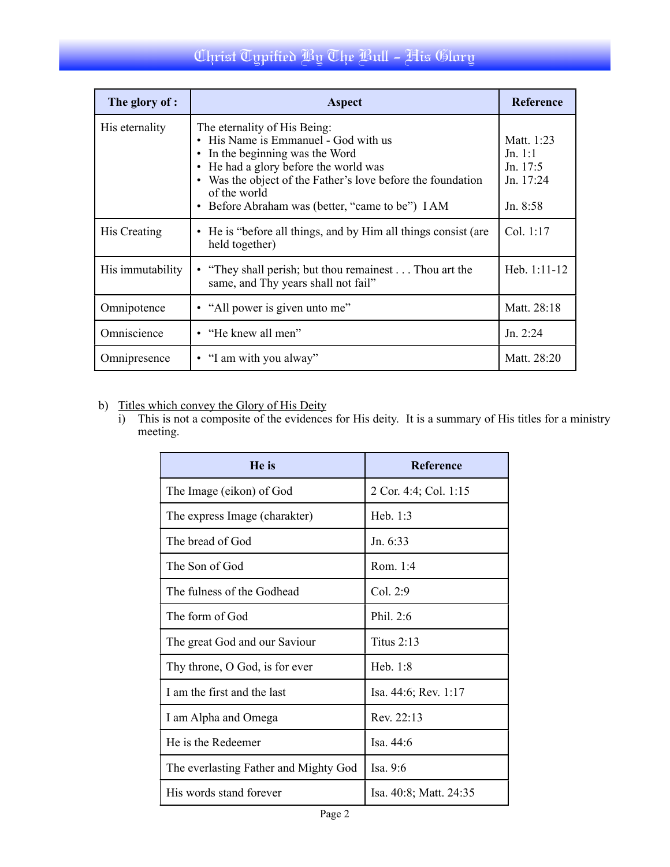## Christ Typified By The Bull - His Glory

| The glory of :   | Aspect                                                                                                                                                                                                                                                                                         | <b>Reference</b>                                               |
|------------------|------------------------------------------------------------------------------------------------------------------------------------------------------------------------------------------------------------------------------------------------------------------------------------------------|----------------------------------------------------------------|
| His eternality   | The eternality of His Being:<br>• His Name is Emmanuel - God with us<br>In the beginning was the Word<br>$\bullet$<br>• He had a glory before the world was<br>• Was the object of the Father's love before the foundation<br>of the world<br>• Before Abraham was (better, "came to be") I AM | Matt. 1:23<br>Jn. 1:1<br>Jn. $17:5$<br>Jn. 17:24<br>Jn. $8:58$ |
| His Creating     | • He is "before all things, and by Him all things consist (are<br>held together)                                                                                                                                                                                                               | Col. 1:17                                                      |
| His immutability | • "They shall perish; but thou remainest Thou art the<br>same, and Thy years shall not fail"                                                                                                                                                                                                   | Heb. 1:11-12                                                   |
| Omnipotence      | • "All power is given unto me"                                                                                                                                                                                                                                                                 | Matt. 28:18                                                    |
| Omniscience      | • "He knew all men"                                                                                                                                                                                                                                                                            | Jn. 2:24                                                       |
| Omnipresence     | • "I am with you alway"                                                                                                                                                                                                                                                                        | Matt. 28:20                                                    |

### b) Titles which convey the Glory of His Deity

i) This is not a composite of the evidences for His deity. It is a summary of His titles for a ministry meeting.

| He is                                 | <b>Reference</b>       |  |
|---------------------------------------|------------------------|--|
| The Image (eikon) of God              | 2 Cor. 4:4; Col. 1:15  |  |
| The express Image (charakter)         | Heb. $1:3$             |  |
| The bread of God                      | Jn. $6:33$             |  |
| The Son of God                        | Rom $1.4$              |  |
| The fulness of the Godhead            | Col. 2:9               |  |
| The form of God                       | Phil. $2:6$            |  |
| The great God and our Saviour         | Titus $2:13$           |  |
| Thy throne, O God, is for ever        | Heb. $1:8$             |  |
| I am the first and the last           | Isa. 44:6; Rev. 1:17   |  |
| I am Alpha and Omega                  | Rev 22.13              |  |
| He is the Redeemer                    | Isa. $44:6$            |  |
| The everlasting Father and Mighty God | Isa. $9:6$             |  |
| His words stand forever               | Isa. 40:8; Matt. 24:35 |  |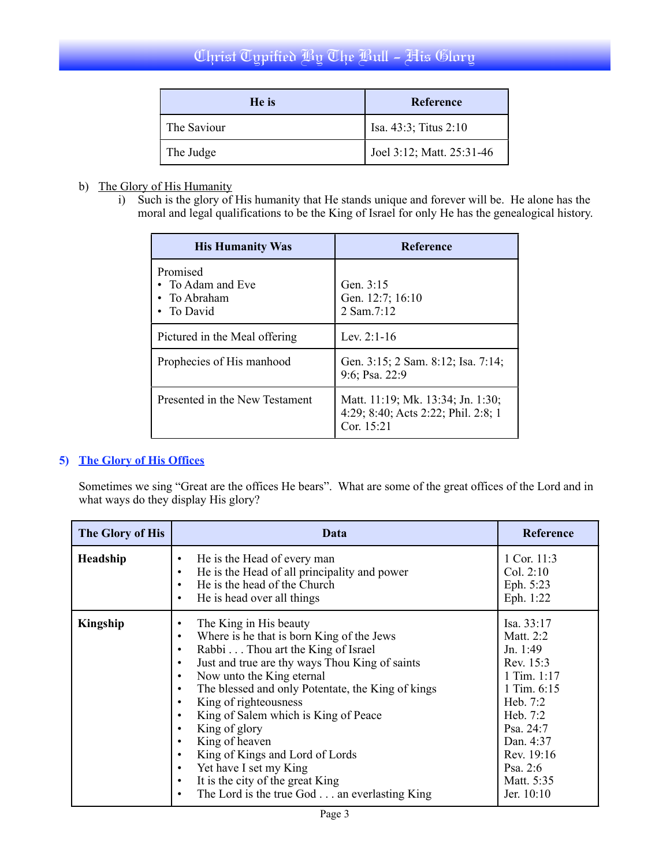### Christ Typified By The Bull - His Glory

| He is       | Reference                 |
|-------------|---------------------------|
| The Saviour | Isa. 43:3; Titus 2:10     |
| The Judge   | Joel 3:12; Matt. 25:31-46 |

### b) The Glory of His Humanity

i) Such is the glory of His humanity that He stands unique and forever will be. He alone has the moral and legal qualifications to be the King of Israel for only He has the genealogical history.

| <b>His Humanity Was</b>                                     | <b>Reference</b>                                                                       |  |
|-------------------------------------------------------------|----------------------------------------------------------------------------------------|--|
| Promised<br>• To Adam and Eve<br>• To Abraham<br>• To David | Gen. $3:15$<br>Gen. 12:7; 16:10<br>2 Sam.7:12                                          |  |
| Pictured in the Meal offering                               | Lev $2.1 - 16$                                                                         |  |
| Prophecies of His manhood                                   | Gen. 3:15; 2 Sam. 8:12; Isa. 7:14;<br>9:6; Psa. 22:9                                   |  |
| Presented in the New Testament                              | Matt. 11:19; Mk. 13:34; Jn. 1:30;<br>4:29; 8:40; Acts 2:22; Phil. 2:8; 1<br>Cor. 15:21 |  |

### **5) The Glory of His Offices**

Sometimes we sing "Great are the offices He bears". What are some of the great offices of the Lord and in what ways do they display His glory?

| The Glory of His | Data                                                                                                                                                                                                                                                                                                                                                                                                                                                                                                                                                                                  | <b>Reference</b>                                                                                                                                                                             |
|------------------|---------------------------------------------------------------------------------------------------------------------------------------------------------------------------------------------------------------------------------------------------------------------------------------------------------------------------------------------------------------------------------------------------------------------------------------------------------------------------------------------------------------------------------------------------------------------------------------|----------------------------------------------------------------------------------------------------------------------------------------------------------------------------------------------|
| Headship         | He is the Head of every man<br>٠<br>He is the Head of all principality and power<br>$\bullet$<br>He is the head of the Church<br>٠<br>He is head over all things<br>$\bullet$                                                                                                                                                                                                                                                                                                                                                                                                         | 1 Cor. 11:3<br>Col. $2:10$<br>Eph. 5:23<br>Eph. 1:22                                                                                                                                         |
| Kingship         | The King in His beauty<br>٠<br>Where is he that is born King of the Jews<br>٠<br>Rabbi Thou art the King of Israel<br>$\bullet$<br>Just and true are thy ways Thou King of saints<br>٠<br>Now unto the King eternal<br>٠<br>The blessed and only Potentate, the King of kings<br>$\bullet$<br>King of righteousness<br>٠<br>King of Salem which is King of Peace<br>King of glory<br>King of heaven<br>٠<br>King of Kings and Lord of Lords<br>٠<br>Yet have I set my King<br>٠<br>It is the city of the great King<br>$\bullet$<br>The Lord is the true God an everlasting King<br>٠ | Isa. 33:17<br>Matt. 2:2<br>Jn. 1:49<br>Rev. 15:3<br>1 Tim. 1:17<br>1 Tim. 6:15<br>Heb. $7:2$<br>Heb. 7:2<br>Psa. $24:7$<br>Dan. 4:37<br>Rev. 19:16<br>Psa. $2:6$<br>Matt. 5:35<br>Jer. 10:10 |